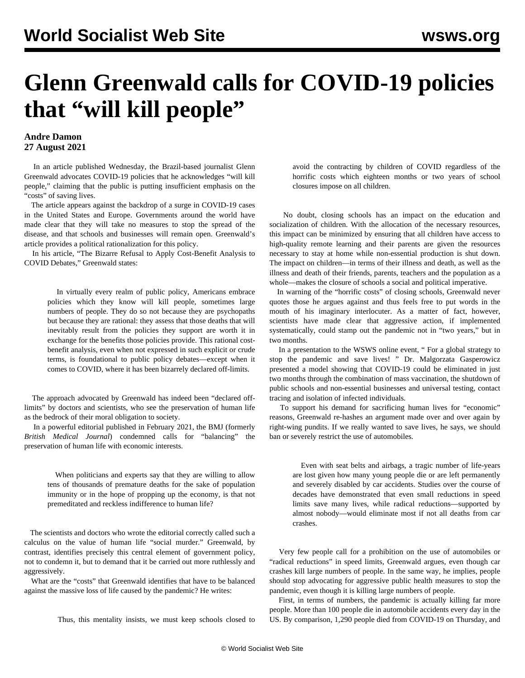## **Glenn Greenwald calls for COVID-19 policies that "will kill people"**

## **Andre Damon 27 August 2021**

 In an article published Wednesday, the Brazil-based journalist Glenn Greenwald advocates COVID-19 policies that he acknowledges "will kill people," claiming that the public is putting insufficient emphasis on the "costs" of saving lives.

 The article appears against the backdrop of a surge in COVID-19 cases in the United States and Europe. Governments around the world have made clear that they will take no measures to stop the spread of the disease, and that schools and businesses will remain open. Greenwald's article provides a political rationalization for this policy.

 In his article, "[The Bizarre Refusal to Apply Cost-Benefit Analysis to](https://greenwald.substack.com/p/the-bizarre-refusal-to-apply-cost) [COVID Debates](https://greenwald.substack.com/p/the-bizarre-refusal-to-apply-cost)," Greenwald states:

 In virtually every realm of public policy, Americans embrace policies which they know will kill people, sometimes large numbers of people. They do so not because they are psychopaths but because they are rational: they assess that those deaths that will inevitably result from the policies they support are worth it in exchange for the benefits those policies provide. This rational costbenefit analysis, even when not expressed in such explicit or crude terms, is foundational to public policy debates—except when it comes to COVID, where it has been bizarrely declared off-limits.

 The approach advocated by Greenwald has indeed been "declared offlimits" by doctors and scientists, who see the preservation of human life as the bedrock of their moral obligation to society.

 In a powerful editorial published in February 2021, the BMJ (formerly *British Medical Journal*) [condemned](https://www.bmj.com/content/372/bmj.n314) calls for "balancing" the preservation of human life with economic interests.

 When politicians and experts say that they are willing to allow tens of thousands of premature deaths for the sake of population immunity or in the hope of propping up the economy, is that not premeditated and reckless indifference to human life?

 The scientists and doctors who wrote the editorial correctly called such a calculus on the value of human life "social murder." Greenwald, by contrast, identifies precisely this central element of government policy, not to condemn it, but to demand that it be carried out more ruthlessly and aggressively.

 What are the "costs" that Greenwald identifies that have to be balanced against the massive loss of life caused by the pandemic? He writes:

Thus, this mentality insists, we must keep schools closed to

avoid the contracting by children of COVID regardless of the horrific costs which eighteen months or two years of school closures impose on all children.

 No doubt, closing schools has an impact on the education and socialization of children. With the allocation of the necessary resources, this impact can be minimized by ensuring that all children have access to high-quality remote learning and their parents are given the resources necessary to stay at home while non-essential production is shut down. The impact on children—in terms of their illness and death, as well as the illness and death of their friends, parents, teachers and the population as a whole—makes the closure of schools a social and political imperative.

 In warning of the "horrific costs" of closing schools, Greenwald never quotes those he argues against and thus feels free to put words in the mouth of his imaginary interlocuter. As a matter of fact, however, scientists have made clear that aggressive action, if implemented systematically, could stamp out the pandemic not in "two years," but in two months.

 In a presentation to the WSWS online event, " [For a global strategy to](/en/special/pages/global-strategy-stop-pandemic-save-lives.html) [stop the pandemic and save lives!](/en/special/pages/global-strategy-stop-pandemic-save-lives.html) " Dr. Malgorzata Gasperowicz presented a model showing that COVID-19 could be eliminated in just two months through the combination of mass vaccination, the shutdown of public schools and non-essential businesses and universal testing, contact tracing and isolation of infected individuals.

 To support his demand for sacrificing human lives for "economic" reasons, Greenwald re-hashes an argument made over and over again by right-wing pundits. If we really wanted to save lives, he says, we should ban or severely restrict the use of automobiles.

 Even with seat belts and airbags, a tragic number of life-years are lost given how many young people die or are left permanently and severely disabled by car accidents. Studies over the course of decades have demonstrated that even small reductions in speed limits save many lives, while radical reductions—supported by almost nobody—would eliminate most if not all deaths from car crashes.

 Very few people call for a prohibition on the use of automobiles or "radical reductions" in speed limits, Greenwald argues, even though car crashes kill large numbers of people. In the same way, he implies, people should stop advocating for aggressive public health measures to stop the pandemic, even though it is killing large numbers of people.

 First, in terms of numbers, the pandemic is actually killing far more people. More than 100 people die in automobile accidents every day in the US. By comparison, 1,290 people died from COVID-19 on Thursday, and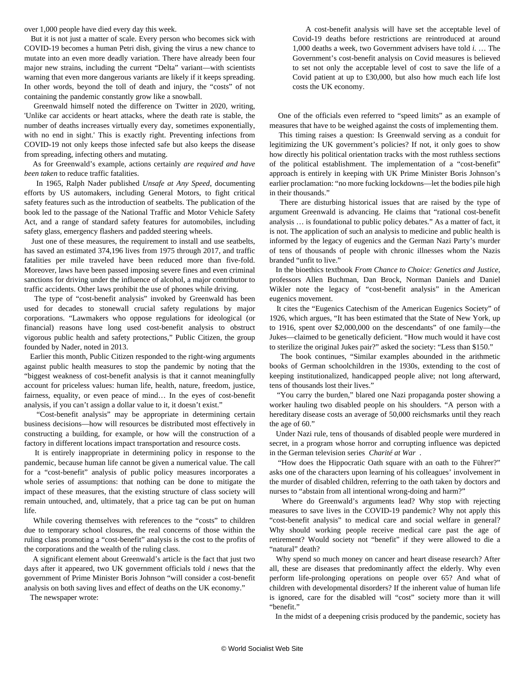over 1,000 people have died every day this week.

 But it is not just a matter of scale. Every person who becomes sick with COVID-19 becomes a human Petri dish, giving the virus a new chance to mutate into an even more deadly variation. There have already been four major new strains, including the current "Delta" variant—with scientists warning that even more dangerous variants are likely if it keeps spreading. In other words, beyond the toll of death and injury, the "costs" of not containing the pandemic constantly grow like a snowball.

 Greenwald himself [noted](https://twitter.com/ggreenwald/status/1258156908013326338) the difference on Twitter in 2020, writing, 'Unlike car accidents or heart attacks, where the death rate is stable, the number of deaths increases virtually every day, sometimes exponentially, with no end in sight.' This is exactly right. Preventing infections from COVID-19 not only keeps those infected safe but also keeps the disease from spreading, infecting others and mutating.

 As for Greenwald's example, actions certainly *are required and have been taken* to reduce traffic fatalities.

 In 1965, Ralph Nader published *Unsafe at Any Speed*, documenting efforts by US automakers, including General Motors, to fight critical safety features such as the introduction of seatbelts. The publication of the book led to the passage of the National Traffic and Motor Vehicle Safety Act, and a range of standard safety features for automobiles, including safety glass, emergency flashers and padded steering wheels.

 Just one of these measures, the requirement to install and use seatbelts, has saved an estimated 374,196 lives from 1975 through 2017, and traffic fatalities per mile traveled have been reduced more than five-fold. Moreover, laws have been passed imposing severe fines and even criminal sanctions for driving under the influence of alcohol, a major contributor to traffic accidents. Other laws prohibit the use of phones while driving.

 The type of "cost-benefit analysis" invoked by Greenwald has been used for decades to stonewall crucial safety regulations by major corporations. "Lawmakers who oppose regulations for ideological (or financial) reasons have long used cost-benefit analysis to obstruct vigorous public health and safety protections," Public Citizen, the group founded by Nader, [noted in 2013](https://www.citizen.org/news/cost-benefit-analysis-a-tool-for-partisan-obstructionism/).

 Earlier this month, Public Citizen [responded to the right-wing arguments](https://www.citizen.org/news/silver-chait-cba/) against public health measures to stop the pandemic by noting that the "biggest weakness of cost-benefit analysis is that it cannot meaningfully account for priceless values: human life, health, nature, freedom, justice, fairness, equality, or even peace of mind… In the eyes of cost-benefit analysis, if you can't assign a dollar value to it, it doesn't exist."

 "Cost-benefit analysis" may be appropriate in determining certain business decisions—how will resources be distributed most effectively in constructing a building, for example, or how will the construction of a factory in different locations impact transportation and resource costs.

 It is entirely inappropriate in determining policy in response to the pandemic, because human life cannot be given a numerical value. The call for a "cost-benefit" analysis of public policy measures incorporates a whole series of assumptions: that nothing can be done to mitigate the impact of these measures, that the existing structure of class society will remain untouched, and, ultimately, that a price tag can be put on human life.

 While covering themselves with references to the "costs" to children due to temporary school closures, the real concerns of those within the ruling class promoting a "cost-benefit" analysis is the cost to the profits of the corporations and the wealth of the ruling class.

 A significant element about Greenwald's article is the fact that just two days after it appeared, two UK government officials told *i* news that the government of Prime Minister Boris Johnson "will consider a cost-benefit analysis on both saving lives and effect of deaths on the UK economy."

The newspaper wrote:

 A cost-benefit analysis will have set the acceptable level of Covid-19 deaths before restrictions are reintroduced at around 1,000 deaths a week, two Government advisers have told *i.* … The Government's cost-benefit analysis on Covid measures is believed to set not only the acceptable level of cost to save the life of a Covid patient at up to £30,000, but also how much each life lost costs the UK economy.

 One of the officials even referred to "speed limits" as an example of measures that have to be weighed against the costs of implementing them.

 This timing raises a question: Is Greenwald serving as a conduit for legitimizing the UK government's policies? If not, it only goes to show how directly his political orientation tracks with the most ruthless sections of the political establishment. The implementation of a "cost-benefit" approach is entirely in keeping with UK Prime Minister Boris Johnson's earlier proclamation: "no more fucking lockdowns—let the bodies pile high in their thousands."

 There are disturbing historical issues that are raised by the type of argument Greenwald is advancing. He claims that "rational cost-benefit analysis … is foundational to public policy debates." As a matter of fact, it is not. The application of such an analysis to medicine and public health is informed by the legacy of eugenics and the German Nazi Party's murder of tens of thousands of people with chronic illnesses whom the Nazis branded "unfit to live."

 In the bioethics textbook *From Chance to Choice: Genetics and Justice*, professors Allen Buchman, Dan Brock, Norman Daniels and Daniel Wikler note the legacy of "cost-benefit analysis" in the American eugenics movement.

 It cites the "Eugenics Catechism of the American Eugenics Society" of 1926, which argues, "It has been estimated that the State of New York, up to 1916, spent over \$2,000,000 on the descendants" of one family—the Jukes—claimed to be genetically deficient. "How much would it have cost to sterilize the original Jukes pair?" asked the society: "Less than \$150."

 The book continues, "Similar examples abounded in the arithmetic books of German schoolchildren in the 1930s, extending to the cost of keeping institutionalized, handicapped people alive; not long afterward, tens of thousands lost their lives."

 "You carry the burden," blared one Nazi propaganda poster showing a worker hauling two disabled people on his shoulders. "A person with a hereditary disease costs an average of 50,000 reichsmarks until they reach the age of 60."

 Under Nazi rule, tens of thousands of disabled people were murdered in secret, in a program whose horror and corrupting influence was depicted in the German television series*[Charité at War](/en/articles/2019/07/11/char-j11.html)* .

 "How does the Hippocratic Oath square with an oath to the Führer?" asks one of the characters upon learning of his colleagues' involvement in the murder of disabled children, referring to the oath taken by doctors and nurses to "abstain from all intentional wrong-doing and harm?"

 Where do Greenwald's arguments lead? Why stop with rejecting measures to save lives in the COVID-19 pandemic? Why not apply this "cost-benefit analysis" to medical care and social welfare in general? Why should working people receive medical care past the age of retirement? Would society not "benefit" if they were allowed to die a "natural" death?

 Why spend so much money on cancer and heart disease research? After all, these are diseases that predominantly affect the elderly. Why even perform life-prolonging operations on people over 65? And what of children with developmental disorders? If the inherent value of human life is ignored, care for the disabled will "cost" society more than it will "benefit."

In the midst of a deepening crisis produced by the pandemic, society has